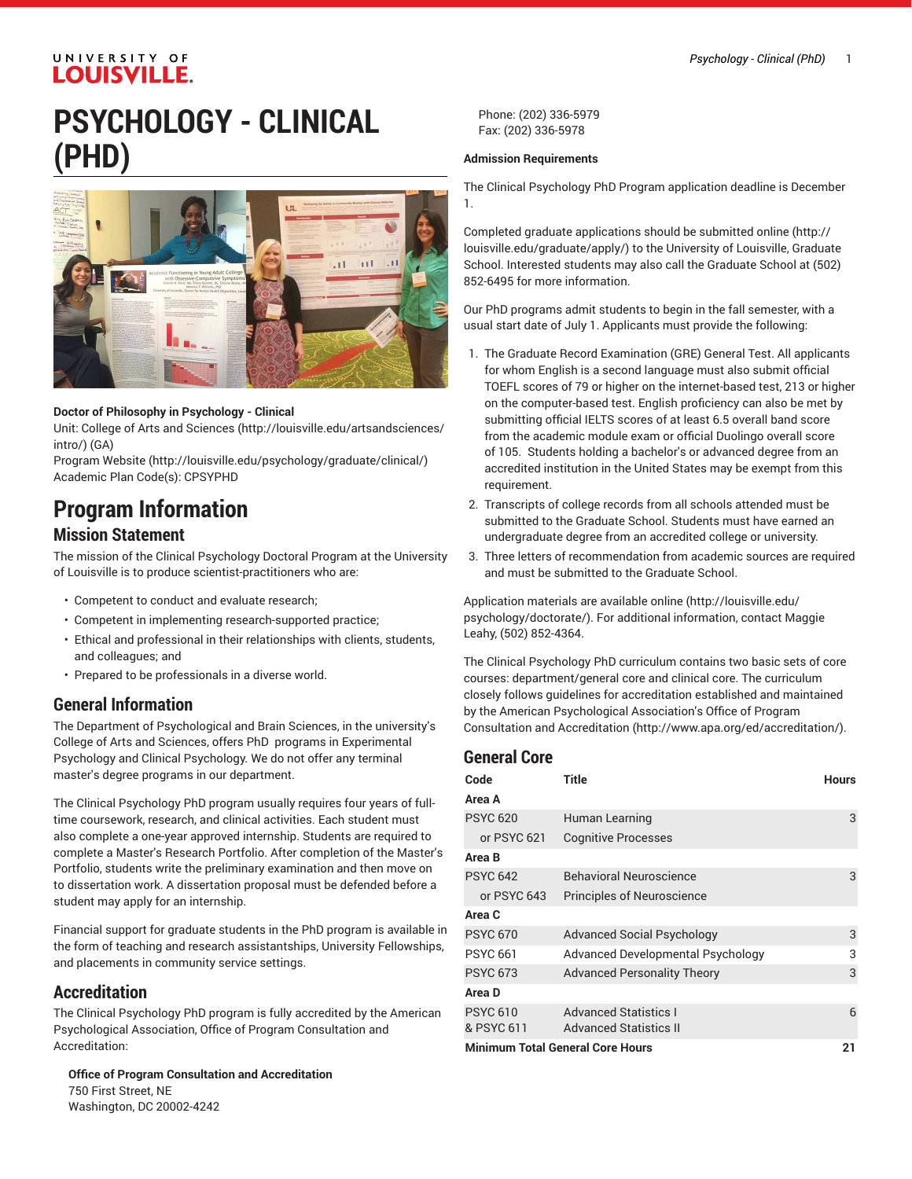## UNIVERSITY OF **LOUISVILLE.**

# **PSYCHOLOGY - CLINICAL (PHD)**



#### **Doctor of Philosophy in Psychology - Clinical**

Unit: College of Arts and [Sciences \(http://louisville.edu/artsandsciences/](http://louisville.edu/artsandsciences/intro/) [intro/\)](http://louisville.edu/artsandsciences/intro/) (GA)

[Program](http://louisville.edu/psychology/graduate/clinical/) Website [\(http://louisville.edu/psychology/graduate/clinical/\)](http://louisville.edu/psychology/graduate/clinical/) Academic Plan Code(s): CPSYPHD

## **Program Information**

## **Mission Statement**

The mission of the Clinical Psychology Doctoral Program at the University of Louisville is to produce scientist-practitioners who are:

- Competent to conduct and evaluate research;
- Competent in implementing research-supported practice;
- Ethical and professional in their relationships with clients, students, and colleagues; and
- Prepared to be professionals in a diverse world.

## **General Information**

The Department of Psychological and Brain Sciences, in the university's College of Arts and Sciences, offers PhD programs in Experimental Psychology and Clinical Psychology. We do not offer any terminal master's degree programs in our department.

The Clinical Psychology PhD program usually requires four years of fulltime coursework, research, and clinical activities. Each student must also complete a one-year approved internship. Students are required to complete a Master's Research Portfolio. After completion of the Master's Portfolio, students write the preliminary examination and then move on to dissertation work. A dissertation proposal must be defended before a student may apply for an internship.

Financial support for graduate students in the PhD program is available in the form of teaching and research assistantships, University Fellowships, and placements in community service settings.

## **Accreditation**

The Clinical Psychology PhD program is fully accredited by the American Psychological Association, Office of Program Consultation and Accreditation:

**Office of Program Consultation and Accreditation** 750 First Street, NE Washington, DC 20002-4242

Phone: (202) 336-5979 Fax: (202) 336-5978

#### **Admission Requirements**

The Clinical Psychology PhD Program application deadline is December 1.

Completed graduate applications should be [submitted online](http://louisville.edu/graduate/apply/) ([http://](http://louisville.edu/graduate/apply/) [louisville.edu/graduate/apply/\)](http://louisville.edu/graduate/apply/) to the University of Louisville, Graduate School. Interested students may also call the Graduate School at (502) 852-6495 for more information.

Our PhD programs admit students to begin in the fall semester, with a usual start date of July 1. Applicants must provide the following:

- 1. The Graduate Record Examination (GRE) General Test. All applicants for whom English is a second language must also submit official TOEFL scores of 79 or higher on the internet-based test, 213 or higher on the computer-based test. English proficiency can also be met by submitting official IELTS scores of at least 6.5 overall band score from the academic module exam or official Duolingo overall score of 105. Students holding a bachelor's or advanced degree from an accredited institution in the United States may be exempt from this requirement.
- 2. Transcripts of college records from all schools attended must be submitted to the Graduate School. Students must have earned an undergraduate degree from an accredited college or university.
- 3. Three letters of recommendation from academic sources are required and must be submitted to the Graduate School.

[Application](http://louisville.edu/psychology/doctorate/) materials are available online [\(http://louisville.edu/](http://louisville.edu/psychology/doctorate/) [psychology/doctorate/\)](http://louisville.edu/psychology/doctorate/). For additional information, contact Maggie Leahy, (502) 852-4364.

The Clinical Psychology PhD curriculum contains two basic sets of core courses: department/general core and clinical core. The curriculum closely follows guidelines for accreditation established and maintained by the American [Psychological](http://www.apa.org/ed/accreditation/) Association's Office of Program Consultation and [Accreditation \(http://www.apa.org/ed/accreditation/\)](http://www.apa.org/ed/accreditation/).

#### **General Core**

| Code<br>Area A                          | <b>Title</b>                                                  | <b>Hours</b> |
|-----------------------------------------|---------------------------------------------------------------|--------------|
| <b>PSYC 620</b>                         | Human Learning                                                | 3            |
| or PSYC 621                             | <b>Cognitive Processes</b>                                    |              |
| Area B                                  |                                                               |              |
| <b>PSYC 642</b>                         | <b>Behavioral Neuroscience</b>                                | 3            |
| or PSYC 643                             | Principles of Neuroscience                                    |              |
| Area C                                  |                                                               |              |
| <b>PSYC 670</b>                         | <b>Advanced Social Psychology</b>                             | 3            |
| <b>PSYC 661</b>                         | Advanced Developmental Psychology                             | 3            |
| <b>PSYC 673</b>                         | <b>Advanced Personality Theory</b>                            | 3            |
| Area D                                  |                                                               |              |
| <b>PSYC 610</b><br>& PSYC 611           | <b>Advanced Statistics I</b><br><b>Advanced Statistics II</b> | 6            |
| <b>Minimum Total General Core Hours</b> |                                                               |              |